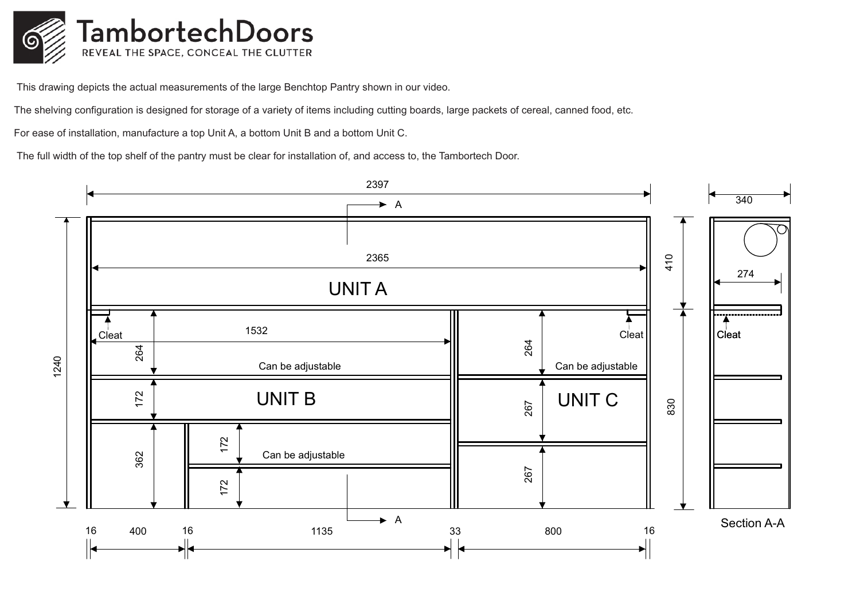

This drawing depicts the actual measurements of the large Benchtop Pantry shown in our video.

The shelving configuration is designed for storage of a variety of items including cutting boards, large packets of cereal, canned food, etc.

For ease of installation, manufacture a top Unit A, a bottom Unit B and a bottom Unit C.

The full width of the top shelf of the pantry must be clear for installation of, and access to, the Tambortech Door.